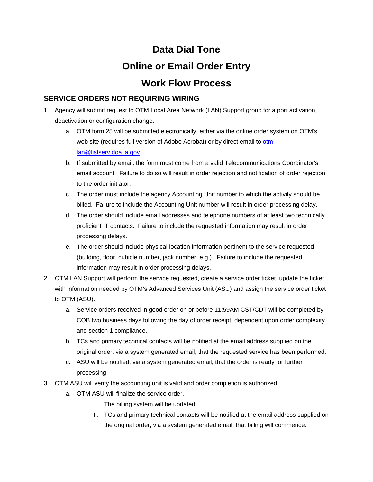## **Data Dial Tone Online or Email Order Entry Work Flow Process**

## **SERVICE ORDERS NOT REQUIRING WIRING**

- 1. Agency will submit request to OTM Local Area Network (LAN) Support group for a port activation, deactivation or configuration change.
	- a. OTM form 25 will be submitted electronically, either via the online order system on OTM's web site (requires full version of Adobe Acrobat) or by direct email to otmlan@listserv.doa.la.gov.
	- b. If submitted by email, the form must come from a valid Telecommunications Coordinator's email account. Failure to do so will result in order rejection and notification of order rejection to the order initiator.
	- c. The order must include the agency Accounting Unit number to which the activity should be billed. Failure to include the Accounting Unit number will result in order processing delay.
	- d. The order should include email addresses and telephone numbers of at least two technically proficient IT contacts. Failure to include the requested information may result in order processing delays.
	- e. The order should include physical location information pertinent to the service requested (building, floor, cubicle number, jack number, e.g.). Failure to include the requested information may result in order processing delays.
- 2. OTM LAN Support will perform the service requested, create a service order ticket, update the ticket with information needed by OTM's Advanced Services Unit (ASU) and assign the service order ticket to OTM (ASU).
	- a. Service orders received in good order on or before 11:59AM CST/CDT will be completed by COB two business days following the day of order receipt, dependent upon order complexity and section 1 compliance.
	- b. TCs and primary technical contacts will be notified at the email address supplied on the original order, via a system generated email, that the requested service has been performed.
	- c. ASU will be notified, via a system generated email, that the order is ready for further processing.
- 3. OTM ASU will verify the accounting unit is valid and order completion is authorized.
	- a. OTM ASU will finalize the service order.
		- I. The billing system will be updated.
		- II. TCs and primary technical contacts will be notified at the email address supplied on the original order, via a system generated email, that billing will commence.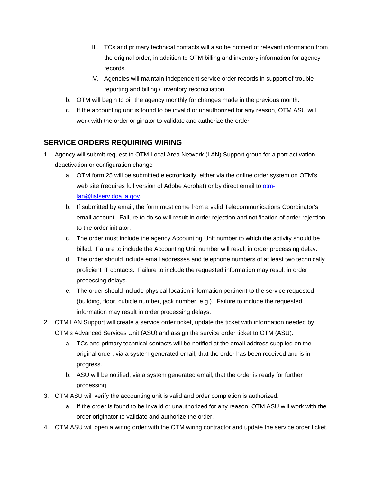- III. TCs and primary technical contacts will also be notified of relevant information from the original order, in addition to OTM billing and inventory information for agency records.
- IV. Agencies will maintain independent service order records in support of trouble reporting and billing / inventory reconciliation.
- b. OTM will begin to bill the agency monthly for changes made in the previous month.
- c. If the accounting unit is found to be invalid or unauthorized for any reason, OTM ASU will work with the order originator to validate and authorize the order.

## **SERVICE ORDERS REQUIRING WIRING**

- 1. Agency will submit request to OTM Local Area Network (LAN) Support group for a port activation, deactivation or configuration change
	- a. OTM form 25 will be submitted electronically, either via the online order system on OTM's web site (requires full version of Adobe Acrobat) or by direct email to otmlan@listserv.doa.la.gov.
	- b. If submitted by email, the form must come from a valid Telecommunications Coordinator's email account. Failure to do so will result in order rejection and notification of order rejection to the order initiator.
	- c. The order must include the agency Accounting Unit number to which the activity should be billed. Failure to include the Accounting Unit number will result in order processing delay.
	- d. The order should include email addresses and telephone numbers of at least two technically proficient IT contacts. Failure to include the requested information may result in order processing delays.
	- e. The order should include physical location information pertinent to the service requested (building, floor, cubicle number, jack number, e.g.). Failure to include the requested information may result in order processing delays.
- 2. OTM LAN Support will create a service order ticket, update the ticket with information needed by OTM's Advanced Services Unit (ASU) and assign the service order ticket to OTM (ASU).
	- a. TCs and primary technical contacts will be notified at the email address supplied on the original order, via a system generated email, that the order has been received and is in progress.
	- b. ASU will be notified, via a system generated email, that the order is ready for further processing.
- 3. OTM ASU will verify the accounting unit is valid and order completion is authorized.
	- a. If the order is found to be invalid or unauthorized for any reason, OTM ASU will work with the order originator to validate and authorize the order.
- 4. OTM ASU will open a wiring order with the OTM wiring contractor and update the service order ticket.